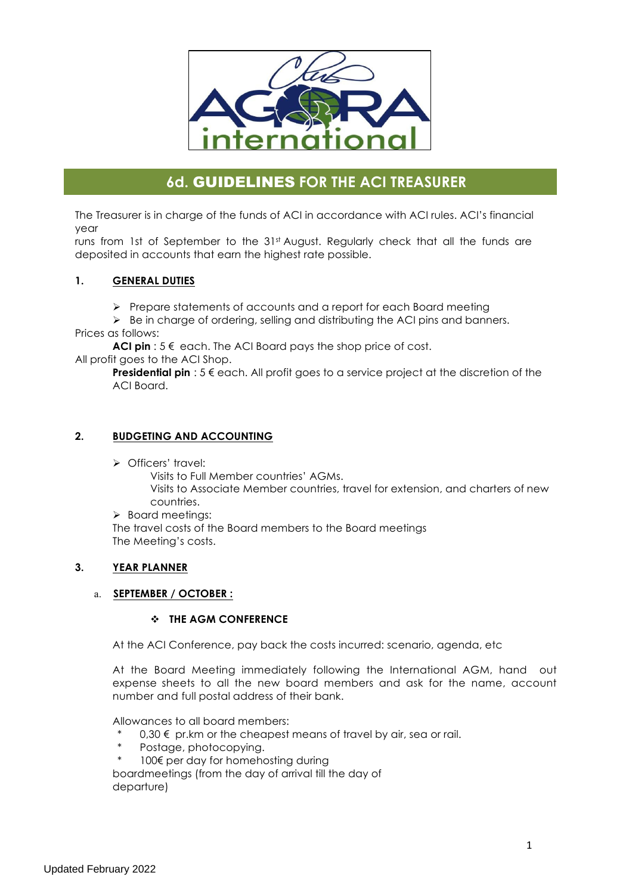

# **6d.** GUIDELINES **FOR THE ACI TREASURER**

The Treasurer is in charge of the funds of ACI in accordance with ACI rules. ACI's financial year

runs from 1st of September to the 31st August. Regularly check that all the funds are deposited in accounts that earn the highest rate possible.

## **1. GENERAL DUTIES**

Ø Prepare statements of accounts and a report for each Board meeting

 $\triangleright$  Be in charge of ordering, selling and distributing the ACI pins and banners. Prices as follows:

**ACI pin** : 5 € each. The ACI Board pays the shop price of cost.

All profit goes to the ACI Shop.

**Presidential pin** : 5 € each. All profit goes to a service project at the discretion of the ACI Board.

## **2. BUDGETING AND ACCOUNTING**

Ø Officers' travel:

Visits to Full Member countries' AGMs. Visits to Associate Member countries, travel for extension, and charters of new countries.

 $\triangleright$  Board meetings:

The travel costs of the Board members to the Board meetings The Meeting's costs.

## **3. YEAR PLANNER**

## a. **SEPTEMBER / OCTOBER :**

## v **THE AGM CONFERENCE**

At the ACI Conference, pay back the costs incurred: scenario, agenda, etc

At the Board Meeting immediately following the International AGM, hand out expense sheets to all the new board members and ask for the name, account number and full postal address of their bank.

Allowances to all board members:

- $0,30 \notin \text{pr.km}$  or the cheapest means of travel by air, sea or rail.
- Postage, photocopying.
- 100€ per day for homehosting during

boardmeetings (from the day of arrival till the day of departure)